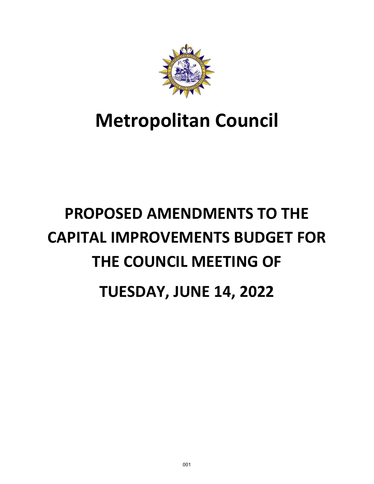

# **Metropolitan Council**

# **PROPOSED AMENDMENTS TO THE CAPITAL IMPROVEMENTS BUDGET FOR THE COUNCIL MEETING OF TUESDAY, JUNE 14, 2022**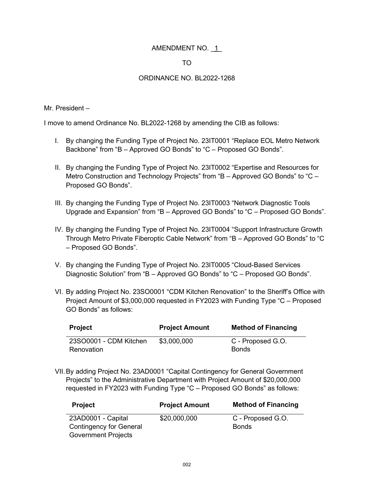#### TO

#### ORDINANCE NO. BL2022-1268

Mr. President –

I move to amend Ordinance No. BL2022-1268 by amending the CIB as follows:

- I. By changing the Funding Type of Project No. 23IT0001 "Replace EOL Metro Network Backbone" from "B – Approved GO Bonds" to "C – Proposed GO Bonds".
- II. By changing the Funding Type of Project No. 23IT0002 "Expertise and Resources for Metro Construction and Technology Projects" from "B - Approved GO Bonds" to "C -Proposed GO Bonds".
- III. By changing the Funding Type of Project No. 23IT0003 "Network Diagnostic Tools Upgrade and Expansion" from "B – Approved GO Bonds" to "C – Proposed GO Bonds".
- IV. By changing the Funding Type of Project No. 23IT0004 "Support Infrastructure Growth Through Metro Private Fiberoptic Cable Network" from "B – Approved GO Bonds" to "C – Proposed GO Bonds".
- V. By changing the Funding Type of Project No. 23IT0005 "Cloud-Based Services Diagnostic Solution" from "B – Approved GO Bonds" to "C – Proposed GO Bonds".
- VI. By adding Project No. 23SO0001 "CDM Kitchen Renovation" to the Sheriff's Office with Project Amount of \$3,000,000 requested in FY2023 with Funding Type "C – Proposed GO Bonds" as follows:

| Project                | <b>Project Amount</b> | <b>Method of Financing</b> |
|------------------------|-----------------------|----------------------------|
| 23SO0001 - CDM Kitchen | \$3,000,000           | C - Proposed G.O.          |
| Renovation             |                       | <b>Bonds</b>               |

VII.By adding Project No. 23AD0001 "Capital Contingency for General Government Projects" to the Administrative Department with Project Amount of \$20,000,000 requested in FY2023 with Funding Type "C – Proposed GO Bonds" as follows:

| <b>Project</b>                 | <b>Project Amount</b> | <b>Method of Financing</b> |
|--------------------------------|-----------------------|----------------------------|
| 23AD0001 - Capital             | \$20,000,000          | C - Proposed G.O.          |
| <b>Contingency for General</b> |                       | <b>Bonds</b>               |
| <b>Government Projects</b>     |                       |                            |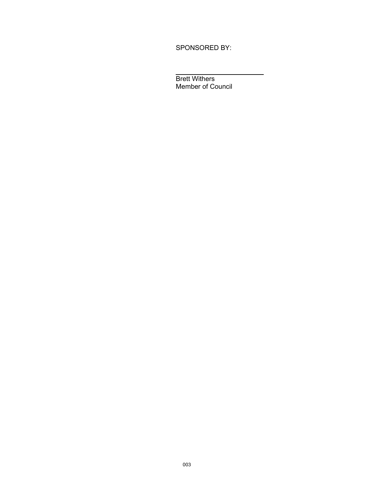SPONSORED BY:

 $\overline{a}$ Brett Withers Member of Council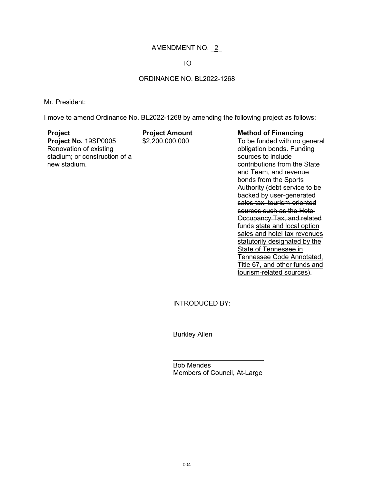# AMENDMENT NO. \_2\_

#### TO

# ORDINANCE NO. BL2022-1268

#### Mr. President:

I move to amend Ordinance No. BL2022-1268 by amending the following project as follows:

| <b>Project</b>                                                                                  | <b>Project Amount</b> | <b>Method of Financing</b>                                                                                                                                                                                                                                                                                                                                                                                                                                                                                                                    |
|-------------------------------------------------------------------------------------------------|-----------------------|-----------------------------------------------------------------------------------------------------------------------------------------------------------------------------------------------------------------------------------------------------------------------------------------------------------------------------------------------------------------------------------------------------------------------------------------------------------------------------------------------------------------------------------------------|
| Project No. 19SP0005<br>Renovation of existing<br>stadium; or construction of a<br>new stadium. | \$2,200,000,000       | To be funded with no general<br>obligation bonds. Funding<br>sources to include<br>contributions from the State<br>and Team, and revenue<br>bonds from the Sports<br>Authority (debt service to be<br>backed by user-generated<br>sales tax, tourism-oriented<br>sources such as the Hotel<br>Occupancy Tax, and related<br>funds state and local option<br>sales and hotel tax revenues<br>statutorily designated by the<br>State of Tennessee in<br>Tennessee Code Annotated,<br>Title 67, and other funds and<br>tourism-related sources). |

INTRODUCED BY:

Burkley Allen

 $\overline{\phantom{a}}$ 

 $\overline{a}$ 

Bob Mendes Members of Council, At-Large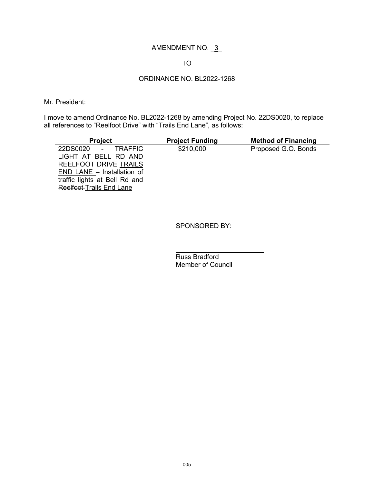#### TO

## ORDINANCE NO. BL2022-1268

Mr. President:

I move to amend Ordinance No. BL2022-1268 by amending Project No. 22DS0020, to replace all references to "Reelfoot Drive" with "Trails End Lane", as follows:

| <b>Project</b>                  | <b>Project Funding</b> | <b>Method of Financing</b> |
|---------------------------------|------------------------|----------------------------|
| 22DS0020 - TRAFFIC              | \$210,000              | Proposed G.O. Bonds        |
| LIGHT AT BELL RD AND            |                        |                            |
| REELFOOT DRIVE TRAILS           |                        |                            |
| $END$ LANE $-$ Installation of  |                        |                            |
| traffic lights at Bell Rd and   |                        |                            |
| <b>Reelfoot Trails End Lane</b> |                        |                            |

SPONSORED BY:

 $\overline{a}$ Russ Bradford Member of Council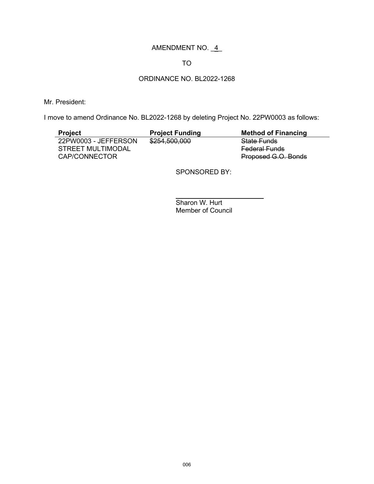#### TO

# ORDINANCE NO. BL2022-1268

Mr. President:

I move to amend Ordinance No. BL2022-1268 by deleting Project No. 22PW0003 as follows:

| <b>Project</b>       | <b>Project Funding</b> | <b>Method of Financing</b> |
|----------------------|------------------------|----------------------------|
| 22PW0003 - JEFFERSON | \$254,500,000          | <b>State Funds</b>         |
| STREET MULTIMODAL    |                        | <b>Federal Funds</b>       |
| CAP/CONNECTOR        |                        | Proposed G.O. Bonds        |

SPONSORED BY:

 $\overline{a}$ Sharon W. Hurt Member of Council

 $\overline{\phantom{a}}$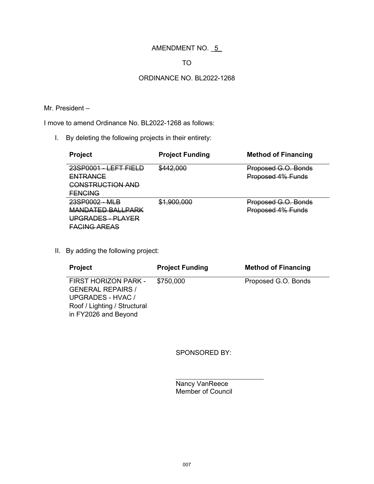## TO

#### ORDINANCE NO. BL2022-1268

#### Mr. President –

I move to amend Ordinance No. BL2022-1268 as follows:

I. By deleting the following projects in their entirety:

| Project                                                                                     | <b>Project Funding</b> | <b>Method of Financing</b>               |
|---------------------------------------------------------------------------------------------|------------------------|------------------------------------------|
| 23SP0001<br><u>EET EIEL</u><br><b>ENTRANCE</b><br><b>CONSTRUCTION AND</b><br><b>FENCING</b> | \$442,000              | Proposed G.O. Bonds<br>Proposed 4% Funds |
| 23SP0002 - MLB<br>MANDATED BALLPARK<br><del>UPGRADES - PLAYER</del><br><b>FACING AREAS</b>  | \$1,900,000            | Proposed G.O. Bonds<br>Proposed 4% Funds |

II. By adding the following project:

| <b>Project</b>                                                                                                                | <b>Project Funding</b> | <b>Method of Financing</b> |
|-------------------------------------------------------------------------------------------------------------------------------|------------------------|----------------------------|
| FIRST HORIZON PARK -<br><b>GENERAL REPAIRS /</b><br>UPGRADES - HVAC /<br>Roof / Lighting / Structural<br>in FY2026 and Beyond | \$750,000              | Proposed G.O. Bonds        |

SPONSORED BY:

 $\overline{a}$ Nancy VanReece Member of Council